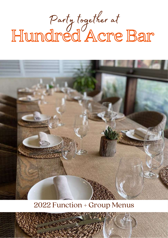Hundred Acre Bar Party together at



### 2022 Function + Group Menus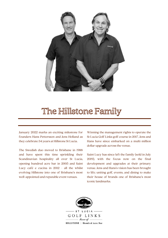

### The Hillstone Family

January 2022 marks an exciting milestone for founders Hans Pettersson and Jens Holland as they celebrate 34 years at Hillstone St Lucia.

The Swedish duo moved to Brisbane in 1988 and have spent this time sprinkling their Scandinavian hospitality all over St Lucia, opening hundred acre bar in 2005 and Saint Lucy café e cucina in 2012 - all the whilst evolving Hillstone into one of Brisbane's most well-appointed and reputable event venues.

Winning the management rights to operate the St Lucia Golf Links golf course in 2017, Jens and Hans have since embarked on a multi-million dollar upgrade across the venue.

Saint Lucy has since left the family (sold in July 2019), with the focus now on the final development and upgrades at their primary venue. Jens and Hans's vision has been brought to life; uniting golf, events, and dining to make their house of brands one of Brisbane's most iconic landmarks.

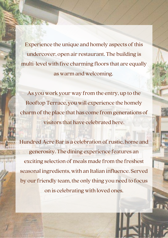Experience the unique and homely aspects of this undercover, open air restaurant. The building is multi-level with five charming floors that are equally as warm and welcoming.

As you work your way from the entry, up to the Rooftop Terrace, you will experience the homely charm of the place that has come from generations of visitors that have celebrated here.

Hundred Acre Bar is a celebration of rustic, home and generosity. The dining experience features an exciting selection of meals made from the freshest seasonal ingredients, with an Italian influence. Served by our friendly team, the only thing you need to focus on is celebrating with loved ones.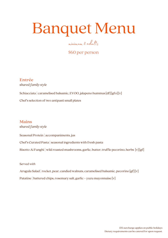### Banquet Menu

minimum 8 adults

\$60 per person

**Entrée** s*hared family style* Schiacciata | caramelised balsamic, EVOO, jalapeno hummus [df] [gfo] [v] Chef's selection of two antipasti small plates

**Mains** s*hared family style*

Seasonal Protein | accompaniments, jus

Chef's Curated Pasta |seasonal ingredients with fresh pasta

Risotto Ai Funghi | wild roasted mushrooms, garlic, butter, truffle pecorino, herbs  $[v][gf]$ 

S*erved with*

Arugula Salad | rocket, pear, candied walnuts, caramelised balsamic, pecorino  $\left[gf\right]\left[v\right]$ Patatine | battered chips, rosemary salt, garlic + yuzu mayonnaise [v]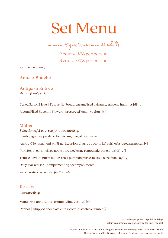### Set Menu

minimum 15 guests, maximum 26 adults

2 course \$68 per person 3 course \$78 per person

sample menu only

**Amuse-Bouche**

#### **Antipasti Entrée**

*shared family style*

Cured Saison Meats | Tuscan flat bread, caramelised balsamic, jalapeno hummus [df] [v] Ricotta Filled Zucchini Flowers | preserved lemon yoghurt [v]

#### **Mains**

*Selection of 2 coursesfor alternate drop* Lamb Ragu | pappardelle, tomato sugo, aged parmesan Aglio e Olio | spaghetti, chilli, garlic, onion, charred zucchini, fresh herbs, aged parmesan [v] Pork Belly | caramelised apple puree, celeriac remoulade, panela jus [df] [gf] Truffle Ravioli | burnt butter, roast pumpkin puree, toasted hazelnuts, sage [v] Daily Market Fish | complementing accompaniments *served with arugula salad forthe table*

#### **Dessert**

*alternate drop*

Mandarin Panna Cotta | crumble, lime zest  $[gf][v]$ 

Cannoli | whipped chocolate chip ricotta, pistachio crumble [v]

15% surcharge applies on public holidays Dietary requirements can be catered for upon request.

*NOTE:* minimum 72 hours notice for group dining menu is required. Available in Private Dining Room and Rooftop only. Minimum food and beverage spends apply.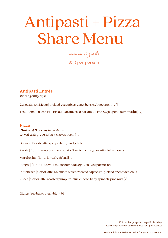# Antipasti + Pizza Share Menu

minimum 15 guests \$50 per person

#### **Antipasti Entrée**

*shared family style*

Cured Saison Meats | pickled vegetables, caperberries, bocconcini [gf]

Traditional Tuscan Flat Bread | caramelised balsamic + EVOO, jalapeno hummus  $\left[ df\right] [v]$ 

#### **Pizza**

C*hoice of 3 pizzasto be shared served with green salad + shaved pecorino*

Diavola |fior di latte, spicy salami, basil, chilli

Patata |fior di latte, rosemary potato, Spanish onion, pancetta, baby capers

Margherita | fior di latte, fresh basil  $[v]$ 

Funghi |fior di latte, wild mushrooms, taleggio, shaved parmesan

Puttanesca |fior di latte, Kalamata olives, roasted capsicum, pickled anchovies, chilli

Zucca | fior di latte, roasted pumpkin, blue cheese, baby spinach, pine nuts [v]

Gluten free bases available  $+$  \$6

15% surcharge applies on public holidays Dietary requirements can be catered for upon request.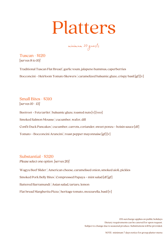# Platters

minimum 20 guests

Tuscan - \$120 [*serves 8 to 10]*

Traditional Tuscan Flat Bread | garlic toum, jalapeno hummus, caperberries Bocconcini + Heirloom Tomato Skewers | caramelized balsamic glaze, crispy basil  $\lceil g f \rceil [v]$ 

Small Bites - \$310 [*serves 10 -15]*

Beetroot + Feta tartlet | balsamic glaze, toasted nuts  $[v][veo]$ Smoked Salmon Mousse | cucumber, wafer, dill Confit Duck Pancakes | cucumber, carrots, coriander, sweet ponzu + hoisin sauce [df] Tomato + Bocconcini Arancini | roast pepper mayonnaise  $\left[\text{gf}\right]\left[v\right]$ 

Substantial- \$320 *Please select one option [serves 20]*

Wagyu Beef Slider | American cheese, caramelised onion, smoked aioli, pickles Smoked Pork Belly Bites | Compressed Papaya + mint salad [df [gf] Battered Barramundi | Asian salad, tartare, lemon Flat bread Margherita Pizza | heritage tomato, mozzarella, basil [v]

> 15% surcharge applies on public holidays Dietary requirements can be catered for upon request. Subject to change due to seasonal produce. Substitutions will be provided*.*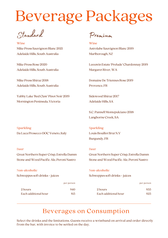## Beverage Packages

Standard

**Wine** Mike Press Sauvignon Blanc 2021 Adelaide Hills, South Australia

Mike Press Rose 2020 Adelaide Hills, South Australia

Mike Press Shiraz 2018 Adelaide Hills, South Australia

Yabby Lake 'Red Claw' Pinot Noir 2019 Mornington Peninsula, Victoria

Premium

**Wine** Astrolabe Sauvignon Blanc 2019 Marlborough, NZ

Leeuwin Estate 'Prelude' Chardonnay 2019 Margaret River,WA

Domaine De Triennes Rose 2019 Provence, FR

Sidewood Shiraz 2017 Adelaide Hills, SA

S.C. Pannell Montepulciano 2018 Langhorne Creek, SA

S**parkling** Da Luca Prosecco DOC Veneto, Italy

#### B**eer**

Great Northern Super Crisp, Estrella Damm Stone and Wood Pacific Ale, Peroni Nastro

N**on-alcoholic** Schweppes soft drinks + juices

per person

| 2 hours              | \$40       |
|----------------------|------------|
| Each additional hour | <b>S15</b> |

S**parkling** Louis Bouillot Brut N.V Burgundy, FR

#### B**eer**

Great Northern Super Crisp, Estrella Damm Stone and Wood Pacific Ale, Peroni Nastro

#### N**on-alcoholic**

Schweppes soft drinks + juices

|                      | per person |
|----------------------|------------|
| 2 hours              | \$55       |
| Each additional hour | \$25       |

### Beverages on Consumption

Select the drinks and the limitations. Guests receive a wristband on arrival and order directly from the bar, with invoice to be settled on the day.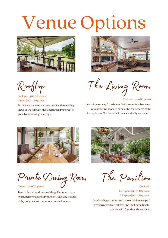# Venue Options





Rooftop

Cocktail | up to 30 guests Dining | up to 20 guests Set privately above our restaurant with sweeping views of the fairway, this open and airy retreat is great for intimate gatherings.

The Living Room

Cocktail | up to 50 guests

Your home away from home. With a comfortable array of seating and space to mingle, the cozy charm of the Living Room fills the air with a warmth all year round.



PrivateDiningRoom

Dining  $|$  up to 26 guests

Take in the beloved views of the golf course over a long lunch or celebratory dinner. Feast and indulge with your guests on one of our curated menus.



The Pavilion

**Cocktail** half space | up to 40 guests full space  $|$  up to 80 guests Overlooking our mini golf course, this landscaped

pavilion provides a relaxed and inviting setting to gather with friends and celebrate.